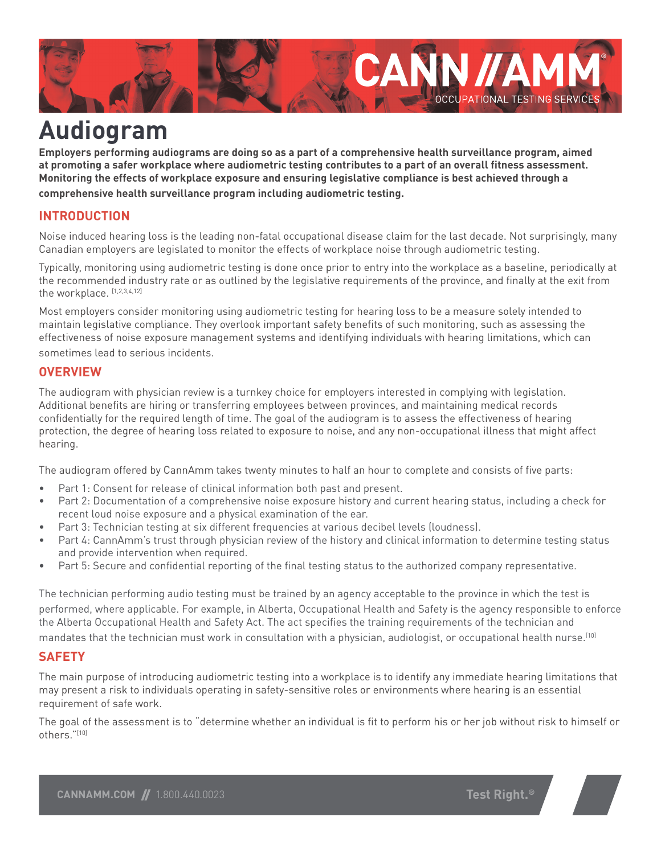

# **Audiogram**

**Employers performing audiograms are doing so as a part of a comprehensive health surveillance program, aimed at promoting a safer workplace where audiometric testing contributes to a part of an overall fitness assessment. Monitoring the effects of workplace exposure and ensuring legislative compliance is best achieved through a comprehensive health surveillance program including audiometric testing.**

## **INTRODUCTION**

Noise induced hearing loss is the leading non-fatal occupational disease claim for the last decade. Not surprisingly, many Canadian employers are legislated to monitor the effects of workplace noise through audiometric testing.

Typically, monitoring using audiometric testing is done once prior to entry into the workplace as a baseline, periodically at the recommended industry rate or as outlined by the legislative requirements of the province, and finally at the exit from the workplace. [1,2,3,4,12]

Most employers consider monitoring using audiometric testing for hearing loss to be a measure solely intended to maintain legislative compliance. They overlook important safety benefits of such monitoring, such as assessing the effectiveness of noise exposure management systems and identifying individuals with hearing limitations, which can sometimes lead to serious incidents.

#### **OVERVIEW**

The audiogram with physician review is a turnkey choice for employers interested in complying with legislation. Additional benefits are hiring or transferring employees between provinces, and maintaining medical records confidentially for the required length of time. The goal of the audiogram is to assess the effectiveness of hearing protection, the degree of hearing loss related to exposure to noise, and any non-occupational illness that might affect hearing.

The audiogram offered by CannAmm takes twenty minutes to half an hour to complete and consists of five parts:

- • Part 1: Consent for release of clinical information both past and present.
- Part 2: Documentation of a comprehensive noise exposure history and current hearing status, including a check for recent loud noise exposure and a physical examination of the ear.
- Part 3: Technician testing at six different frequencies at various decibel levels (loudness).
- Part 4: CannAmm's trust through physician review of the history and clinical information to determine testing status and provide intervention when required.
- • Part 5: Secure and confidential reporting of the final testing status to the authorized company representative.

The technician performing audio testing must be trained by an agency acceptable to the province in which the test is performed, where applicable. For example, in Alberta, Occupational Health and Safety is the agency responsible to enforce the Alberta Occupational Health and Safety Act. The act specifies the training requirements of the technician and mandates that the technician must work in consultation with a physician, audiologist, or occupational health nurse.[10]

#### **SAFETY**

The main purpose of introducing audiometric testing into a workplace is to identify any immediate hearing limitations that may present a risk to individuals operating in safety-sensitive roles or environments where hearing is an essential requirement of safe work.

The goal of the assessment is to "determine whether an individual is fit to perform his or her job without risk to himself or others."[10]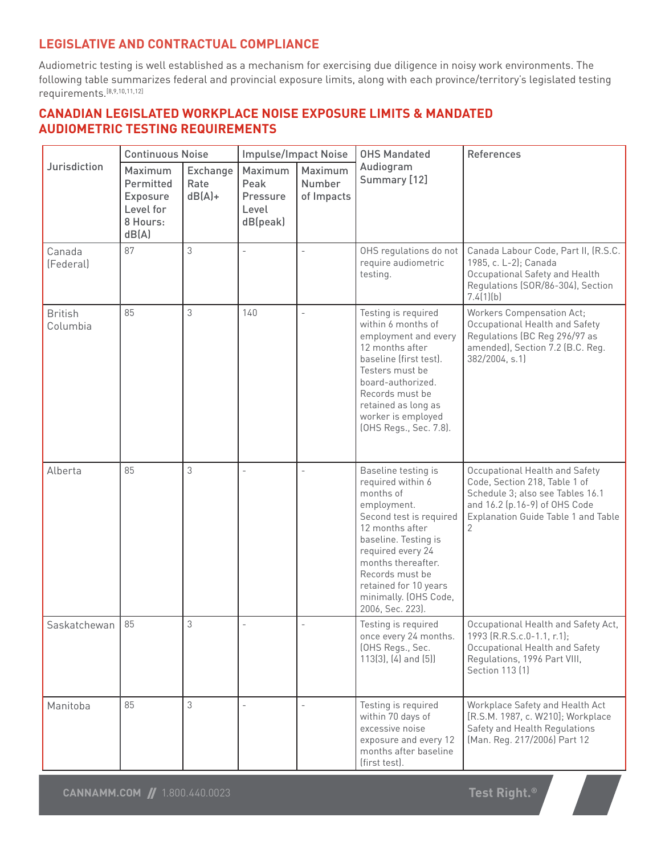### **LEGISLATIVE AND CONTRACTUAL COMPLIANCE**

Audiometric testing is well established as a mechanism for exercising due diligence in noisy work environments. The following table summarizes federal and provincial exposure limits, along with each province/territory's legislated testing requirements.[8,9,10,11,12]

#### **CANADIAN LEGISLATED WORKPLACE NOISE EXPOSURE LIMITS & MANDATED AUDIOMETRIC TESTING REQUIREMENTS**

|                            | <b>Continuous Noise</b>                                            |                               | <b>Impulse/Impact Noise</b>                      |                                 | <b>OHS Mandated</b>                                                                                                                                                                                                                                                            | <b>References</b>                                                                                                                                                                |
|----------------------------|--------------------------------------------------------------------|-------------------------------|--------------------------------------------------|---------------------------------|--------------------------------------------------------------------------------------------------------------------------------------------------------------------------------------------------------------------------------------------------------------------------------|----------------------------------------------------------------------------------------------------------------------------------------------------------------------------------|
| Jurisdiction               | Maximum<br>Permitted<br>Exposure<br>Level for<br>8 Hours:<br>dB(A) | Exchange<br>Rate<br>$dB(A) +$ | Maximum<br>Peak<br>Pressure<br>Level<br>dB(peak) | Maximum<br>Number<br>of Impacts | Audiogram<br>Summary [12]                                                                                                                                                                                                                                                      |                                                                                                                                                                                  |
| Canada<br>(Federal)        | 87                                                                 | 3                             | $\overline{\phantom{a}}$                         |                                 | OHS regulations do not<br>require audiometric<br>testing.                                                                                                                                                                                                                      | Canada Labour Code, Part II, (R.S.C.<br>1985, c. L-2); Canada<br>Occupational Safety and Health<br>Regulations (SOR/86-304), Section<br>7.4(1)(b)                                |
| <b>British</b><br>Columbia | 85                                                                 | 3                             | 140                                              |                                 | Testing is required<br>within 6 months of<br>employment and every<br>12 months after<br>baseline (first test).<br>Testers must be<br>board-authorized.<br>Records must be<br>retained as long as<br>worker is employed<br>(OHS Regs., Sec. 7.8).                               | <b>Workers Compensation Act;</b><br>Occupational Health and Safety<br>Regulations (BC Reg 296/97 as<br>amended), Section 7.2 (B.C. Reg.<br>382/2004, s.1)                        |
| Alberta                    | 85                                                                 | 3                             |                                                  |                                 | Baseline testing is<br>required within 6<br>months of<br>employment.<br>Second test is required<br>12 months after<br>baseline. Testing is<br>required every 24<br>months thereafter.<br>Records must be<br>retained for 10 years<br>minimally. (OHS Code,<br>2006, Sec. 223). | Occupational Health and Safety<br>Code, Section 218, Table 1 of<br>Schedule 3; also see Tables 16.1<br>and 16.2 (p.16-9) of OHS Code<br>Explanation Guide Table 1 and Table<br>2 |
| Saskatchewan               | 85                                                                 | 3                             |                                                  |                                 | Testing is required<br>once every 24 months.<br>(OHS Regs., Sec.<br>$113(3)$ , $(4)$ and $(5)$                                                                                                                                                                                 | Occupational Health and Safety Act,<br>1993 (R.R.S.c.0-1.1, r.1);<br>Occupational Health and Safety<br>Regulations, 1996 Part VIII,<br>Section 113 [1]                           |
| Manitoba                   | 85                                                                 | 3                             |                                                  |                                 | Testing is required<br>within 70 days of<br>excessive noise<br>exposure and every 12<br>months after baseline<br>(first test).                                                                                                                                                 | Workplace Safety and Health Act<br>[R.S.M. 1987, c. W210]; Workplace<br>Safety and Health Regulations<br>(Man. Reg. 217/2006) Part 12                                            |

**Test Right.®**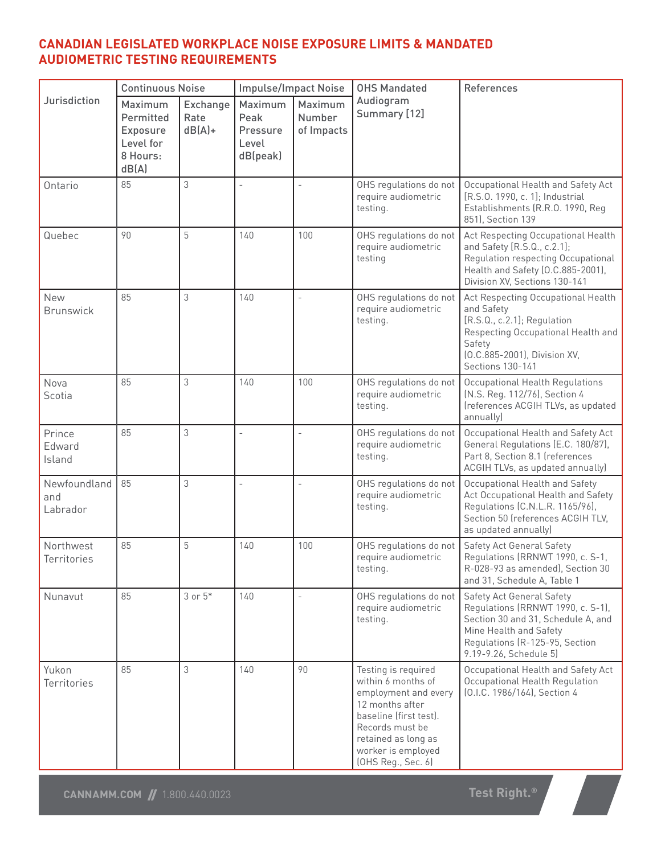#### **CANADIAN LEGISLATED WORKPLACE NOISE EXPOSURE LIMITS & MANDATED AUDIOMETRIC TESTING REQUIREMENTS**

|                                 | <b>Continuous Noise</b>                                                   |                               | <b>Impulse/Impact Noise</b>                      |                                 | <b>OHS Mandated</b>                                                                                                                                                                                  | References                                                                                                                                                                                        |  |
|---------------------------------|---------------------------------------------------------------------------|-------------------------------|--------------------------------------------------|---------------------------------|------------------------------------------------------------------------------------------------------------------------------------------------------------------------------------------------------|---------------------------------------------------------------------------------------------------------------------------------------------------------------------------------------------------|--|
| Jurisdiction                    | Maximum<br>Permitted<br><b>Exposure</b><br>Level for<br>8 Hours:<br>dB(A) | Exchange<br>Rate<br>$dB(A) +$ | Maximum<br>Peak<br>Pressure<br>Level<br>dB(peak) | Maximum<br>Number<br>of Impacts | Audiogram<br>Summary [12]                                                                                                                                                                            |                                                                                                                                                                                                   |  |
| Ontario                         | 85                                                                        | 3                             | $\overline{\phantom{a}}$                         |                                 | OHS regulations do not<br>require audiometric<br>testing.                                                                                                                                            | Occupational Health and Safety Act<br>[R.S.O. 1990, c. 1]; Industrial<br>Establishments (R.R.O. 1990, Reg<br>851), Section 139                                                                    |  |
| Quebec                          | 90                                                                        | 5                             | 140                                              | 100                             | OHS regulations do not<br>require audiometric<br>testing                                                                                                                                             | Act Respecting Occupational Health<br>and Safety [R.S.Q., c.2.1];<br>Regulation respecting Occupational<br>Health and Safety (O.C.885-2001),<br>Division XV, Sections 130-141                     |  |
| <b>New</b><br><b>Brunswick</b>  | 85                                                                        | 3                             | 140                                              |                                 | OHS regulations do not<br>require audiometric<br>testing.                                                                                                                                            | Act Respecting Occupational Health<br>and Safety<br>[R.S.Q., c.2.1]; Regulation<br>Respecting Occupational Health and<br>Safety<br>(O.C.885-2001), Division XV,<br>Sections 130-141               |  |
| Nova<br>Scotia                  | 85                                                                        | 3                             | 140                                              | 100                             | OHS regulations do not<br>require audiometric<br>testing.                                                                                                                                            | Occupational Health Regulations<br>(N.S. Reg. 112/76), Section 4<br>(references ACGIH TLVs, as updated<br>annually)                                                                               |  |
| Prince<br>Edward<br>Island      | 85                                                                        | 3                             |                                                  |                                 | OHS regulations do not<br>require audiometric<br>testing.                                                                                                                                            | Occupational Health and Safety Act<br>General Regulations (E.C. 180/87),<br>Part 8, Section 8.1 (references<br>ACGIH TLVs, as updated annually)                                                   |  |
| Newfoundland<br>and<br>Labrador | 85                                                                        | 3                             |                                                  |                                 | OHS regulations do not<br>require audiometric<br>testing.                                                                                                                                            | Occupational Health and Safety<br>Act Occupational Health and Safety<br>Regulations (C.N.L.R. 1165/96),<br>Section 50 (references ACGIH TLV,<br>as updated annually)                              |  |
| Northwest<br>Territories        | 85                                                                        | 5                             | 140                                              | 100                             | OHS regulations do not<br>require audiometric<br>testing.                                                                                                                                            | <b>Safety Act General Safety</b><br>Regulations (RRNWT 1990, c. S-1,<br>R-028-93 as amended), Section 30<br>and 31, Schedule A, Table 1                                                           |  |
| Nunavut                         | 85                                                                        | $3$ or $5*$                   | 140                                              |                                 | OHS regulations do not<br>require audiometric<br>testing.                                                                                                                                            | <b>Safety Act General Safety</b><br>Regulations (RRNWT 1990, c. S-1),<br>Section 30 and 31, Schedule A, and<br>Mine Health and Safety<br>Regulations (R-125-95, Section<br>9.19-9.26, Schedule 5) |  |
| Yukon<br><b>Territories</b>     | 85                                                                        | 3                             | 140                                              | 90                              | Testing is required<br>within 6 months of<br>employment and every<br>12 months after<br>baseline (first test).<br>Records must be<br>retained as long as<br>worker is employed<br>(OHS Reg., Sec. 6) | Occupational Health and Safety Act<br>Occupational Health Regulation<br>(0.I.C. 1986/164), Section 4                                                                                              |  |

**Altre**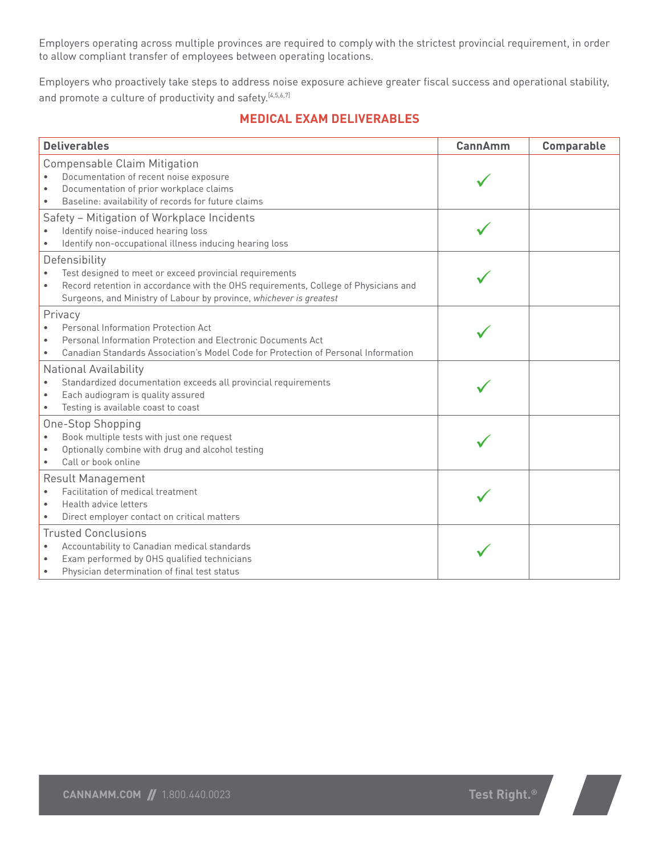Employers operating across multiple provinces are required to comply with the strictest provincial requirement, in order to allow compliant transfer of employees between operating locations.

Employers who proactively take steps to address noise exposure achieve greater fiscal success and operational stability, and promote a culture of productivity and safety.<sup>[4,5,6,7]</sup>

#### **MEDICAL EXAM DELIVERABLES**

| <b>Deliverables</b>                                                                                                                                                                                                                                 | CannAmm | Comparable |
|-----------------------------------------------------------------------------------------------------------------------------------------------------------------------------------------------------------------------------------------------------|---------|------------|
| <b>Compensable Claim Mitigation</b><br>Documentation of recent noise exposure<br>$\bullet$<br>Documentation of prior workplace claims<br>Baseline: availability of records for future claims<br>$\bullet$                                           |         |            |
| Safety - Mitigation of Workplace Incidents<br>Identify noise-induced hearing loss<br>Identify non-occupational illness inducing hearing loss                                                                                                        |         |            |
| Defensibility<br>Test designed to meet or exceed provincial requirements<br>Record retention in accordance with the OHS requirements, College of Physicians and<br>$\bullet$<br>Surgeons, and Ministry of Labour by province, whichever is greatest |         |            |
| Privacy<br>Personal Information Protection Act<br>$\bullet$<br>Personal Information Protection and Flectronic Documents Act<br>Canadian Standards Association's Model Code for Protection of Personal Information                                   |         |            |
| <b>National Availability</b><br>Standardized documentation exceeds all provincial requirements<br>$\bullet$<br>Each audiogram is quality assured<br>$\bullet$<br>Testing is available coast to coast                                                |         |            |
| One-Stop Shopping<br>Book multiple tests with just one request<br>Optionally combine with drug and alcohol testing<br>Call or book online<br>$\bullet$                                                                                              |         |            |
| <b>Result Management</b><br>Facilitation of medical treatment<br>Health advice letters<br>$\bullet$<br>Direct employer contact on critical matters                                                                                                  |         |            |
| <b>Trusted Conclusions</b><br>Accountability to Canadian medical standards<br>$\bullet$<br>Exam performed by OHS qualified technicians<br>$\bullet$<br>Physician determination of final test status<br>$\bullet$                                    |         |            |